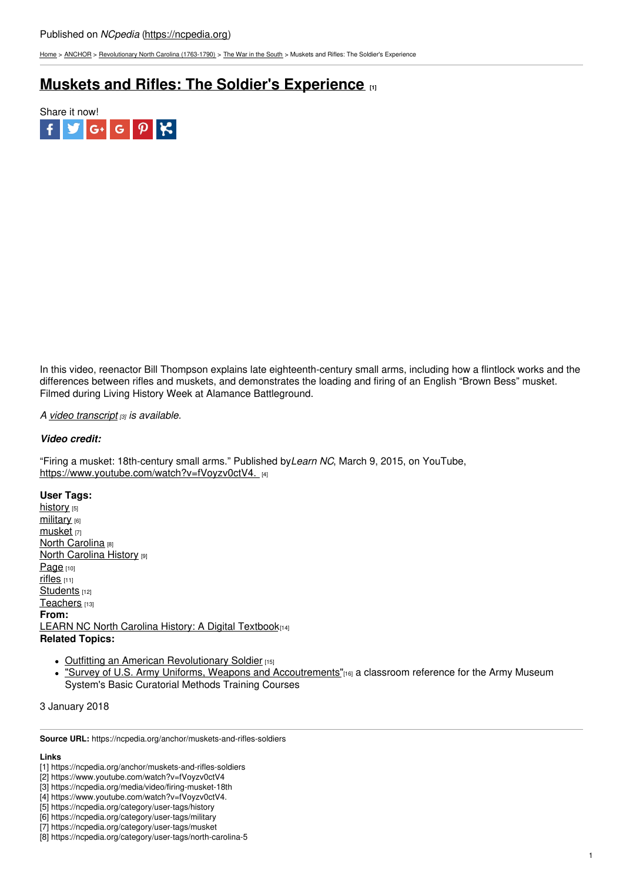[Home](https://ncpedia.org/) > [ANCHOR](https://ncpedia.org/anchor/anchor) > [Revolutionary](https://ncpedia.org/anchor/revolutionary-north-carolina) North Carolina (1763-1790) > The War in the [South](https://ncpedia.org/anchor/war-south) > Muskets and Rifles: The Soldier's Experience

## **Muskets and Rifles: The Soldier's [Experience](https://ncpedia.org/anchor/muskets-and-rifles-soldiers) [1]**



In this video, reenactor Bill Thompson explains late eighteenth-century small arms, including how a flintlock works and the differences between rifles and muskets, and demonstrates the loading and firing of an English "Brown Bess" musket. Filmed during Living History Week at Alamance Battleground.

*A video [transcript](https://ncpedia.org/media/video/firing-musket-18th) [3] is available.*

## *Video credit:*

"Firing a musket: 18th-century small arms." Published by*Learn NC*, March 9, 2015, on YouTube, [https://www.youtube.com/watch?v=fVoyzv0ctV4.](https://www.youtube.com/watch?v=fVoyzv0ctV4.�)

**User Tags:**

[history](https://ncpedia.org/category/user-tags/history) [5] [military](https://ncpedia.org/category/user-tags/military) [6] [musket](https://ncpedia.org/category/user-tags/musket)<sub>[7]</sub> North [Carolina](https://ncpedia.org/category/user-tags/north-carolina-5) [8] **North [Carolina](https://ncpedia.org/category/user-tags/north-carolina-6) History [9]** [Page](https://ncpedia.org/category/user-tags/page) [10] [rifles](https://ncpedia.org/category/user-tags/rifles) [11] [Students](https://ncpedia.org/category/user-tags/students) [12] [Teachers](https://ncpedia.org/category/user-tags/teachers) [13] **From:** LEARN NC North Carolina History: A Digital [Textbook](https://ncpedia.org/category/entry-source/learn-nc)[14] **Related Topics:**

- Outfitting an American [Revolutionary](https://ncpedia.org/history/usrevolution/soldiers) Soldier [15]
- "Survey of U.S. Army Uniforms, Weapons and [Accoutrements"](https://history.army.mil/html/museums/uniforms/survey.html)[16] a classroom reference for the Army Museum System's Basic Curatorial Methods Training Courses

3 January 2018

**Source URL:** https://ncpedia.org/anchor/muskets-and-rifles-soldiers

## **Links**

<sup>[1]</sup> https://ncpedia.org/anchor/muskets-and-rifles-soldiers

<sup>[2]</sup> https://www.youtube.com/watch?v=fVoyzv0ctV4

<sup>[3]</sup> https://ncpedia.org/media/video/firing-musket-18th

<sup>[4]</sup> https://www.youtube.com/watch?v=fVoyzv0ctV4.

<sup>[5]</sup> https://ncpedia.org/category/user-tags/history

<sup>[6]</sup> https://ncpedia.org/category/user-tags/military

<sup>[7]</sup> https://ncpedia.org/category/user-tags/musket

<sup>[8]</sup> https://ncpedia.org/category/user-tags/north-carolina-5